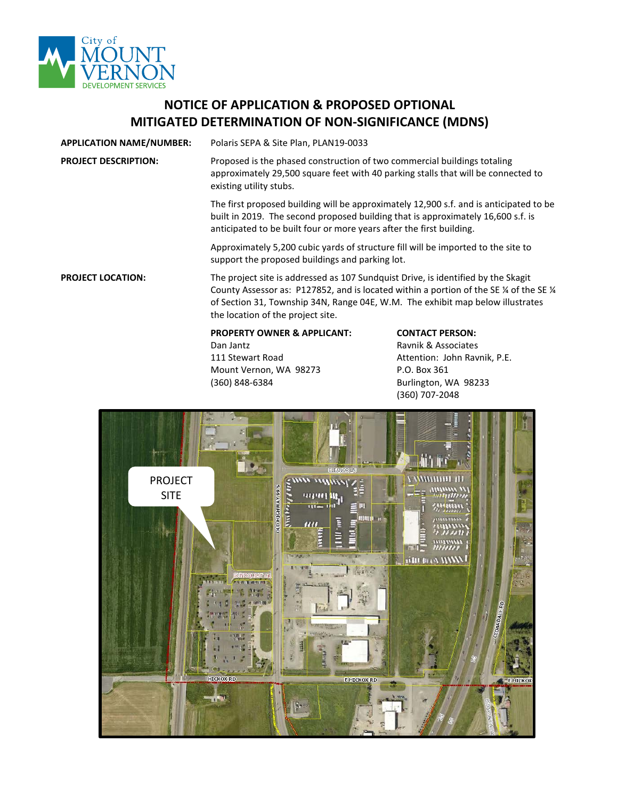

## **NOTICE OF APPLICATION & PROPOSED OPTIONAL MITIGATED DETERMINATION OF NON-SIGNIFICANCE (MDNS)**

**APPLICATION NAME/NUMBER:** Polaris SEPA & Site Plan, PLAN19-0033

**PROJECT DESCRIPTION:** Proposed is the phased construction of two commercial buildings totaling approximately 29,500 square feet with 40 parking stalls that will be connected to existing utility stubs.

> The first proposed building will be approximately 12,900 s.f. and is anticipated to be built in 2019. The second proposed building that is approximately 16,600 s.f. is anticipated to be built four or more years after the first building.

Approximately 5,200 cubic yards of structure fill will be imported to the site to support the proposed buildings and parking lot.

**PROJECT LOCATION:** The project site is addressed as 107 Sundquist Drive, is identified by the Skagit County Assessor as: P127852, and is located within a portion of the SE  $\frac{1}{4}$  of the SE  $\frac{1}{4}$ of Section 31, Township 34N, Range 04E, W.M. The exhibit map below illustrates the location of the project site.

## **PROPERTY OWNER & APPLICANT: CONTACT PERSON:**

Dan Jantz **Dan Jantz** Ravnik & Associates Mount Vernon, WA 98273 P.O. Box 361 (360) 848-6384 Burlington, WA 98233

111 Stewart Road **Attention: John Ravnik, P.E.** (360) 707-2048

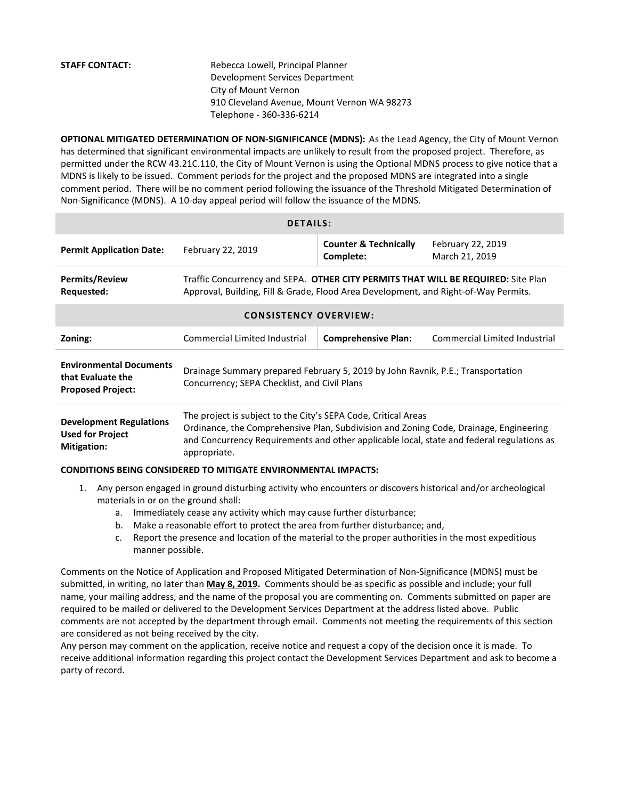**STAFF CONTACT:** Rebecca Lowell, Principal Planner Development Services Department City of Mount Vernon 910 Cleveland Avenue, Mount Vernon WA 98273 Telephone - 360-336-6214

**OPTIONAL MITIGATED DETERMINATION OF NON-SIGNIFICANCE (MDNS):** As the Lead Agency, the City of Mount Vernon has determined that significant environmental impacts are unlikely to result from the proposed project. Therefore, as permitted under the RCW 43.21C.110, the City of Mount Vernon is using the Optional MDNS process to give notice that a MDNS is likely to be issued. Comment periods for the project and the proposed MDNS are integrated into a single comment period. There will be no comment period following the issuance of the Threshold Mitigated Determination of Non-Significance (MDNS). A 10-day appeal period will follow the issuance of the MDNS.

| <b>DETAILS:</b>                                                                 |                                                                                                                                                                                                                                                                      |                                               |                                     |
|---------------------------------------------------------------------------------|----------------------------------------------------------------------------------------------------------------------------------------------------------------------------------------------------------------------------------------------------------------------|-----------------------------------------------|-------------------------------------|
| <b>Permit Application Date:</b>                                                 | February 22, 2019                                                                                                                                                                                                                                                    | <b>Counter &amp; Technically</b><br>Complete: | February 22, 2019<br>March 21, 2019 |
| <b>Permits/Review</b><br>Requested:                                             | Traffic Concurrency and SEPA. OTHER CITY PERMITS THAT WILL BE REQUIRED: Site Plan<br>Approval, Building, Fill & Grade, Flood Area Development, and Right-of-Way Permits.                                                                                             |                                               |                                     |
| <b>CONSISTENCY OVERVIEW:</b>                                                    |                                                                                                                                                                                                                                                                      |                                               |                                     |
| Zoning:                                                                         | <b>Commercial Limited Industrial</b>                                                                                                                                                                                                                                 | <b>Comprehensive Plan:</b>                    | Commercial Limited Industrial       |
| <b>Environmental Documents</b><br>that Evaluate the<br><b>Proposed Project:</b> | Drainage Summary prepared February 5, 2019 by John Ravnik, P.E.; Transportation<br>Concurrency; SEPA Checklist, and Civil Plans                                                                                                                                      |                                               |                                     |
| <b>Development Regulations</b><br><b>Used for Project</b><br><b>Mitigation:</b> | The project is subject to the City's SEPA Code, Critical Areas<br>Ordinance, the Comprehensive Plan, Subdivision and Zoning Code, Drainage, Engineering<br>and Concurrency Requirements and other applicable local, state and federal regulations as<br>appropriate. |                                               |                                     |
| <b>CONDITIONS BEING CONSIDERED TO MITIGATE ENVIRONMENTAL IMPACTS:</b>           |                                                                                                                                                                                                                                                                      |                                               |                                     |

- 1. Any person engaged in ground disturbing activity who encounters or discovers historical and/or archeological materials in or on the ground shall:
	- a. Immediately cease any activity which may cause further disturbance;
	- b. Make a reasonable effort to protect the area from further disturbance; and,
	- c. Report the presence and location of the material to the proper authorities in the most expeditious manner possible.

Comments on the Notice of Application and Proposed Mitigated Determination of Non-Significance (MDNS) must be submitted, in writing, no later than **May 8, 2019.** Comments should be as specific as possible and include; your full name, your mailing address, and the name of the proposal you are commenting on. Comments submitted on paper are required to be mailed or delivered to the Development Services Department at the address listed above. Public comments are not accepted by the department through email. Comments not meeting the requirements of this section are considered as not being received by the city.

Any person may comment on the application, receive notice and request a copy of the decision once it is made. To receive additional information regarding this project contact the Development Services Department and ask to become a party of record.